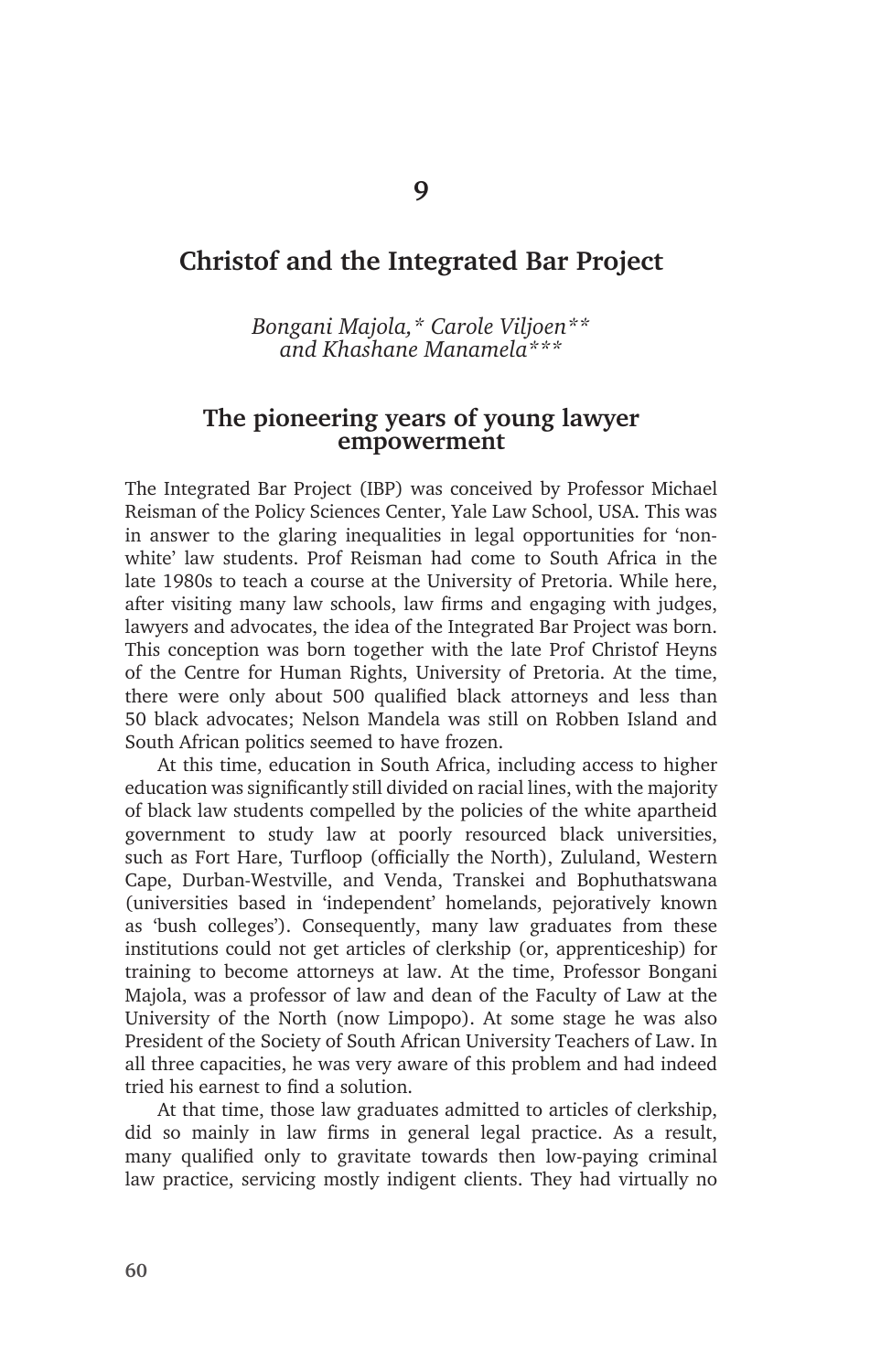# **Christof and the Integrated Bar Project**

*Bongani Majola,\* Carole Viljoen\*\* and Khashane Manamela\*\*\**

#### **The pioneering years of young lawyer empowerment**

The Integrated Bar Project (IBP) was conceived by Professor Michael Reisman of the Policy Sciences Center, Yale Law School, USA. This was in answer to the glaring inequalities in legal opportunities for 'nonwhite' law students. Prof Reisman had come to South Africa in the late 1980s to teach a course at the University of Pretoria. While here, after visiting many law schools, law firms and engaging with judges, lawyers and advocates, the idea of the Integrated Bar Project was born. This conception was born together with the late Prof Christof Heyns of the Centre for Human Rights, University of Pretoria. At the time, there were only about 500 qualified black attorneys and less than 50 black advocates; Nelson Mandela was still on Robben Island and South African politics seemed to have frozen.

At this time, education in South Africa, including access to higher education was significantly still divided on racial lines, with the majority of black law students compelled by the policies of the white apartheid government to study law at poorly resourced black universities, such as Fort Hare, Turfloop (officially the North), Zululand, Western Cape, Durban-Westville, and Venda, Transkei and Bophuthatswana (universities based in 'independent' homelands, pejoratively known as 'bush colleges'). Consequently, many law graduates from these institutions could not get articles of clerkship (or, apprenticeship) for training to become attorneys at law. At the time, Professor Bongani Majola, was a professor of law and dean of the Faculty of Law at the University of the North (now Limpopo). At some stage he was also President of the Society of South African University Teachers of Law. In all three capacities, he was very aware of this problem and had indeed tried his earnest to find a solution.

At that time, those law graduates admitted to articles of clerkship, did so mainly in law firms in general legal practice. As a result, many qualified only to gravitate towards then low-paying criminal law practice, servicing mostly indigent clients. They had virtually no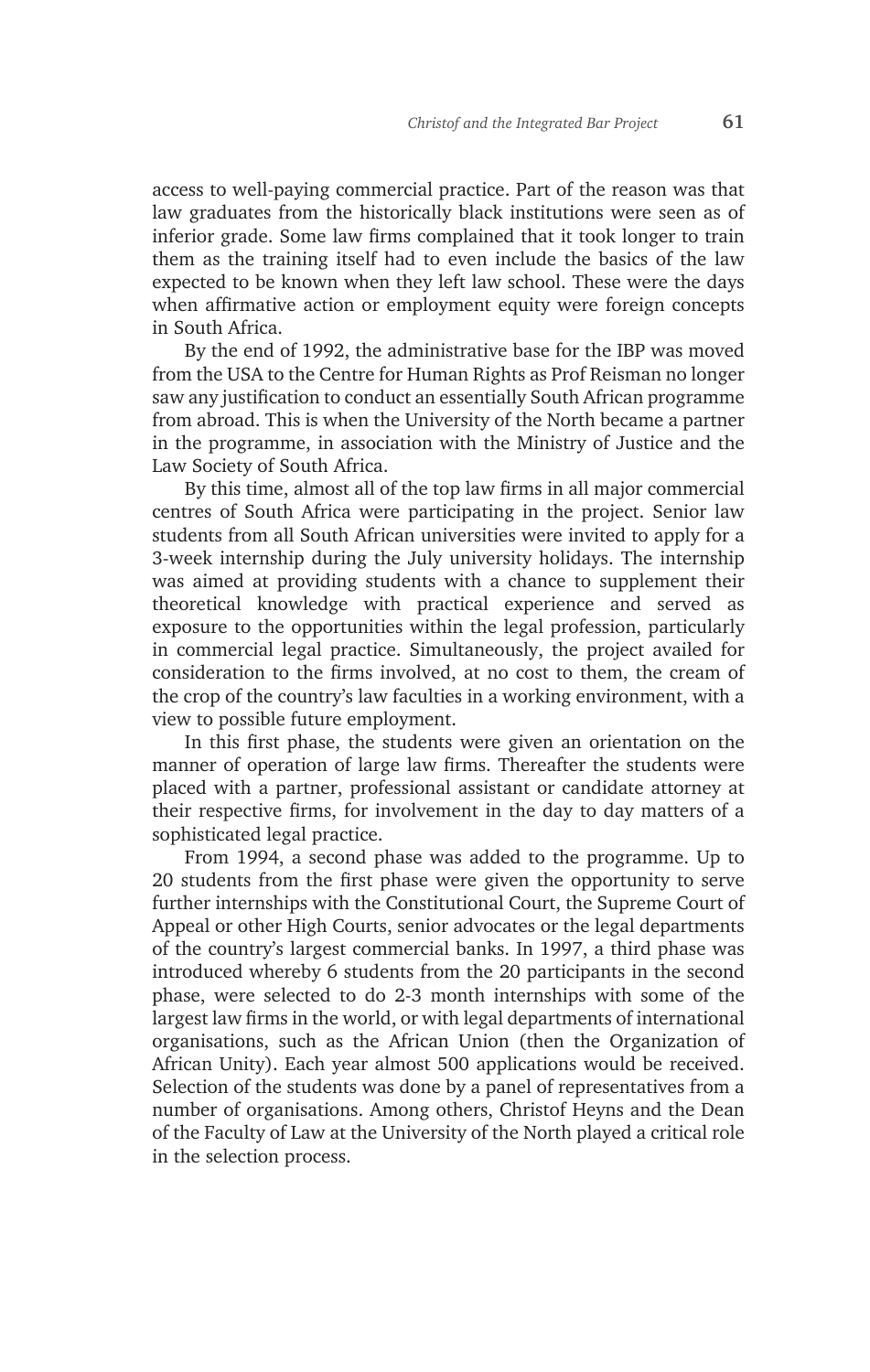access to well-paying commercial practice. Part of the reason was that law graduates from the historically black institutions were seen as of inferior grade. Some law firms complained that it took longer to train them as the training itself had to even include the basics of the law expected to be known when they left law school. These were the days when affirmative action or employment equity were foreign concepts in South Africa.

By the end of 1992, the administrative base for the IBP was moved from the USA to the Centre for Human Rights as Prof Reisman no longer saw any justification to conduct an essentially South African programme from abroad. This is when the University of the North became a partner in the programme, in association with the Ministry of Justice and the Law Society of South Africa.

By this time, almost all of the top law firms in all major commercial centres of South Africa were participating in the project. Senior law students from all South African universities were invited to apply for a 3-week internship during the July university holidays. The internship was aimed at providing students with a chance to supplement their theoretical knowledge with practical experience and served as exposure to the opportunities within the legal profession, particularly in commercial legal practice. Simultaneously, the project availed for consideration to the firms involved, at no cost to them, the cream of the crop of the country's law faculties in a working environment, with a view to possible future employment.

In this first phase, the students were given an orientation on the manner of operation of large law firms. Thereafter the students were placed with a partner, professional assistant or candidate attorney at their respective firms, for involvement in the day to day matters of a sophisticated legal practice.

From 1994, a second phase was added to the programme. Up to 20 students from the first phase were given the opportunity to serve further internships with the Constitutional Court, the Supreme Court of Appeal or other High Courts, senior advocates or the legal departments of the country's largest commercial banks. In 1997, a third phase was introduced whereby 6 students from the 20 participants in the second phase, were selected to do 2-3 month internships with some of the largest law firms in the world, or with legal departments of international organisations, such as the African Union (then the Organization of African Unity). Each year almost 500 applications would be received. Selection of the students was done by a panel of representatives from a number of organisations. Among others, Christof Heyns and the Dean of the Faculty of Law at the University of the North played a critical role in the selection process.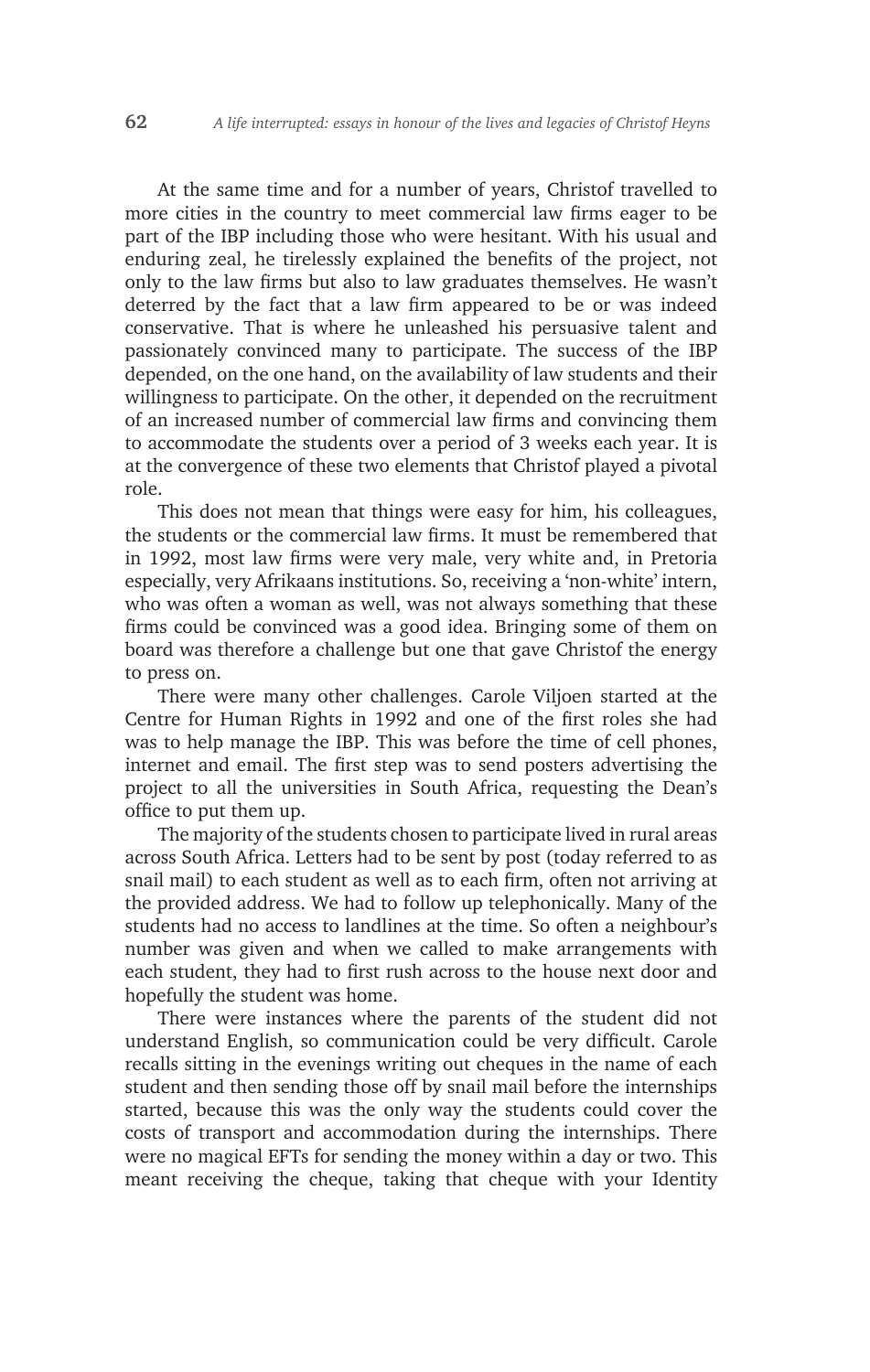At the same time and for a number of years, Christof travelled to more cities in the country to meet commercial law firms eager to be part of the IBP including those who were hesitant. With his usual and enduring zeal, he tirelessly explained the benefits of the project, not only to the law firms but also to law graduates themselves. He wasn't deterred by the fact that a law firm appeared to be or was indeed conservative. That is where he unleashed his persuasive talent and passionately convinced many to participate. The success of the IBP depended, on the one hand, on the availability of law students and their willingness to participate. On the other, it depended on the recruitment of an increased number of commercial law firms and convincing them to accommodate the students over a period of 3 weeks each year. It is at the convergence of these two elements that Christof played a pivotal role.

This does not mean that things were easy for him, his colleagues, the students or the commercial law firms. It must be remembered that in 1992, most law firms were very male, very white and, in Pretoria especially, very Afrikaans institutions. So, receiving a 'non-white' intern, who was often a woman as well, was not always something that these firms could be convinced was a good idea. Bringing some of them on board was therefore a challenge but one that gave Christof the energy to press on.

There were many other challenges. Carole Viljoen started at the Centre for Human Rights in 1992 and one of the first roles she had was to help manage the IBP. This was before the time of cell phones, internet and email. The first step was to send posters advertising the project to all the universities in South Africa, requesting the Dean's office to put them up.

The majority of the students chosen to participate lived in rural areas across South Africa. Letters had to be sent by post (today referred to as snail mail) to each student as well as to each firm, often not arriving at the provided address. We had to follow up telephonically. Many of the students had no access to landlines at the time. So often a neighbour's number was given and when we called to make arrangements with each student, they had to first rush across to the house next door and hopefully the student was home.

There were instances where the parents of the student did not understand English, so communication could be very difficult. Carole recalls sitting in the evenings writing out cheques in the name of each student and then sending those off by snail mail before the internships started, because this was the only way the students could cover the costs of transport and accommodation during the internships. There were no magical EFTs for sending the money within a day or two. This meant receiving the cheque, taking that cheque with your Identity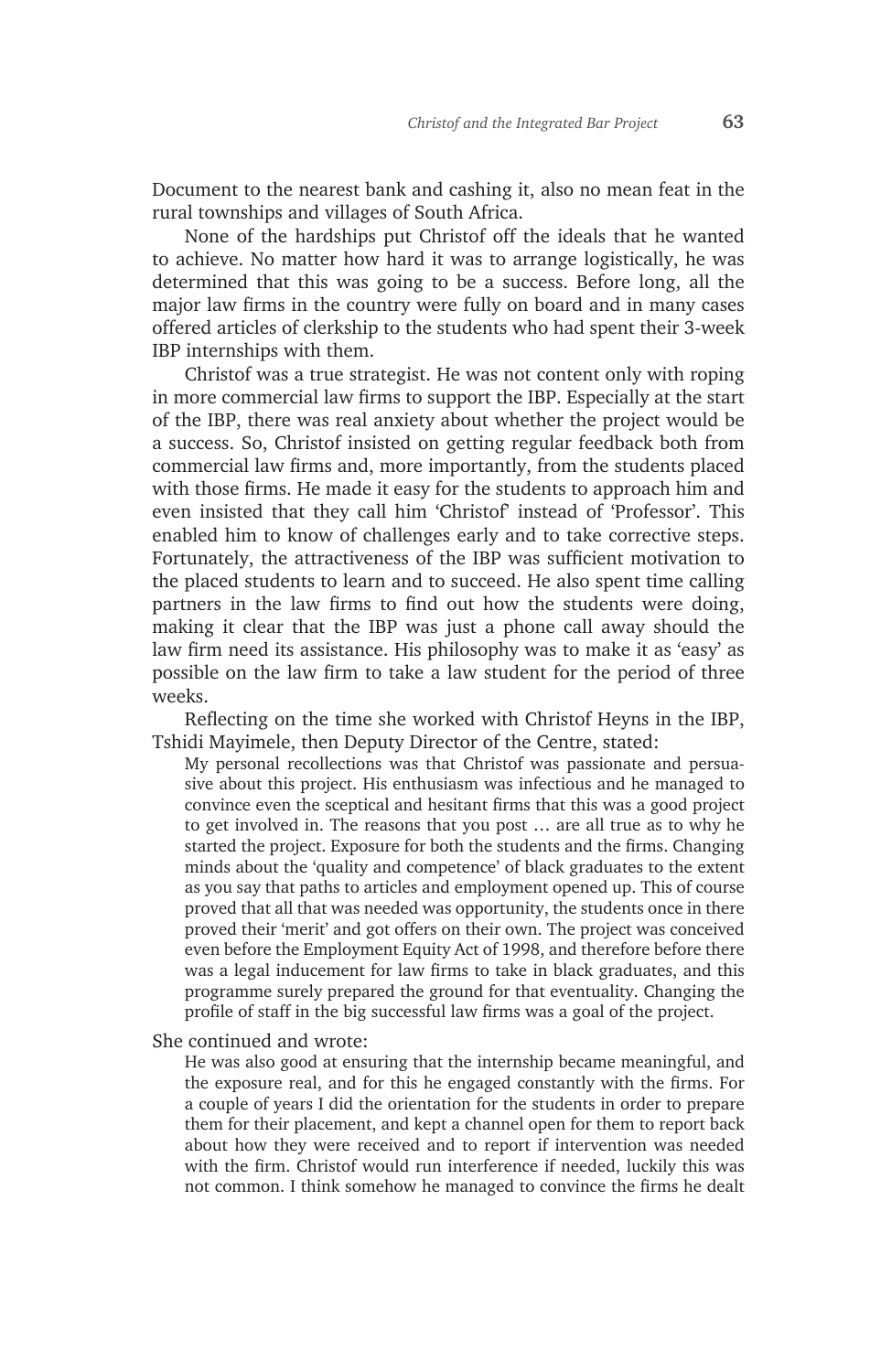Document to the nearest bank and cashing it, also no mean feat in the rural townships and villages of South Africa.

None of the hardships put Christof off the ideals that he wanted to achieve. No matter how hard it was to arrange logistically, he was determined that this was going to be a success. Before long, all the major law firms in the country were fully on board and in many cases offered articles of clerkship to the students who had spent their 3-week IBP internships with them.

Christof was a true strategist. He was not content only with roping in more commercial law firms to support the IBP. Especially at the start of the IBP, there was real anxiety about whether the project would be a success. So, Christof insisted on getting regular feedback both from commercial law firms and, more importantly, from the students placed with those firms. He made it easy for the students to approach him and even insisted that they call him 'Christof' instead of 'Professor'. This enabled him to know of challenges early and to take corrective steps. Fortunately, the attractiveness of the IBP was sufficient motivation to the placed students to learn and to succeed. He also spent time calling partners in the law firms to find out how the students were doing, making it clear that the IBP was just a phone call away should the law firm need its assistance. His philosophy was to make it as 'easy' as possible on the law firm to take a law student for the period of three weeks.

Reflecting on the time she worked with Christof Heyns in the IBP, Tshidi Mayimele, then Deputy Director of the Centre, stated:

My personal recollections was that Christof was passionate and persuasive about this project. His enthusiasm was infectious and he managed to convince even the sceptical and hesitant firms that this was a good project to get involved in. The reasons that you post … are all true as to why he started the project. Exposure for both the students and the firms. Changing minds about the 'quality and competence' of black graduates to the extent as you say that paths to articles and employment opened up. This of course proved that all that was needed was opportunity, the students once in there proved their 'merit' and got offers on their own. The project was conceived even before the Employment Equity Act of 1998, and therefore before there was a legal inducement for law firms to take in black graduates, and this programme surely prepared the ground for that eventuality. Changing the profile of staff in the big successful law firms was a goal of the project.

She continued and wrote:

He was also good at ensuring that the internship became meaningful, and the exposure real, and for this he engaged constantly with the firms. For a couple of years I did the orientation for the students in order to prepare them for their placement, and kept a channel open for them to report back about how they were received and to report if intervention was needed with the firm. Christof would run interference if needed, luckily this was not common. I think somehow he managed to convince the firms he dealt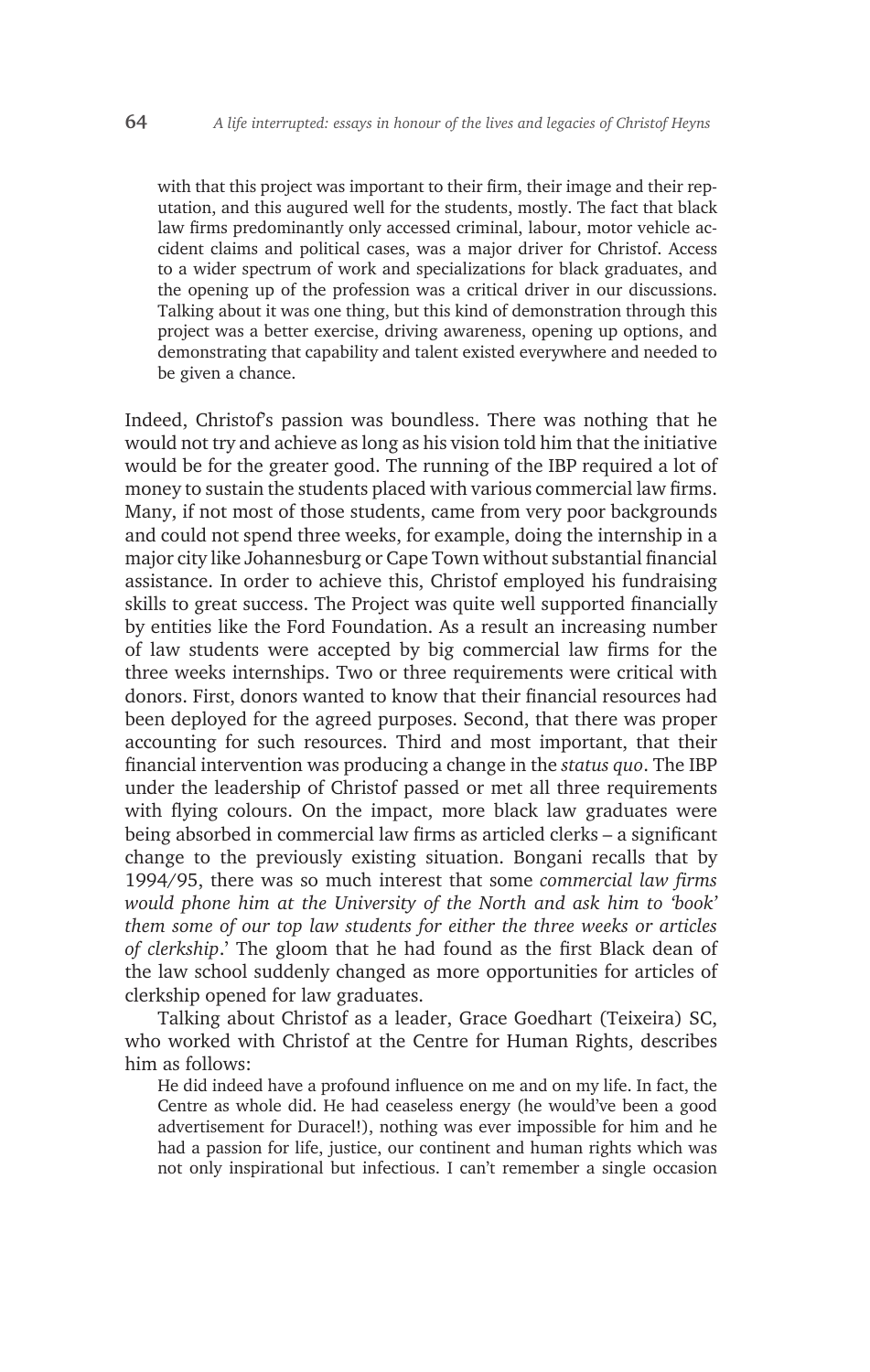with that this project was important to their firm, their image and their reputation, and this augured well for the students, mostly. The fact that black law firms predominantly only accessed criminal, labour, motor vehicle accident claims and political cases, was a major driver for Christof. Access to a wider spectrum of work and specializations for black graduates, and the opening up of the profession was a critical driver in our discussions. Talking about it was one thing, but this kind of demonstration through this project was a better exercise, driving awareness, opening up options, and demonstrating that capability and talent existed everywhere and needed to be given a chance.

Indeed, Christof's passion was boundless. There was nothing that he would not try and achieve as long as his vision told him that the initiative would be for the greater good. The running of the IBP required a lot of money to sustain the students placed with various commercial law firms. Many, if not most of those students, came from very poor backgrounds and could not spend three weeks, for example, doing the internship in a major city like Johannesburg or Cape Town without substantial financial assistance. In order to achieve this, Christof employed his fundraising skills to great success. The Project was quite well supported financially by entities like the Ford Foundation. As a result an increasing number of law students were accepted by big commercial law firms for the three weeks internships. Two or three requirements were critical with donors. First, donors wanted to know that their financial resources had been deployed for the agreed purposes. Second, that there was proper accounting for such resources. Third and most important, that their financial intervention was producing a change in the *status quo*. The IBP under the leadership of Christof passed or met all three requirements with flying colours. On the impact, more black law graduates were being absorbed in commercial law firms as articled clerks – a significant change to the previously existing situation. Bongani recalls that by 1994/95, there was so much interest that some *commercial law firms would phone him at the University of the North and ask him to 'book' them some of our top law students for either the three weeks or articles of clerkship*.' The gloom that he had found as the first Black dean of the law school suddenly changed as more opportunities for articles of clerkship opened for law graduates.

Talking about Christof as a leader, Grace Goedhart (Teixeira) SC, who worked with Christof at the Centre for Human Rights, describes him as follows:

He did indeed have a profound influence on me and on my life. In fact, the Centre as whole did. He had ceaseless energy (he would've been a good advertisement for Duracel!), nothing was ever impossible for him and he had a passion for life, justice, our continent and human rights which was not only inspirational but infectious. I can't remember a single occasion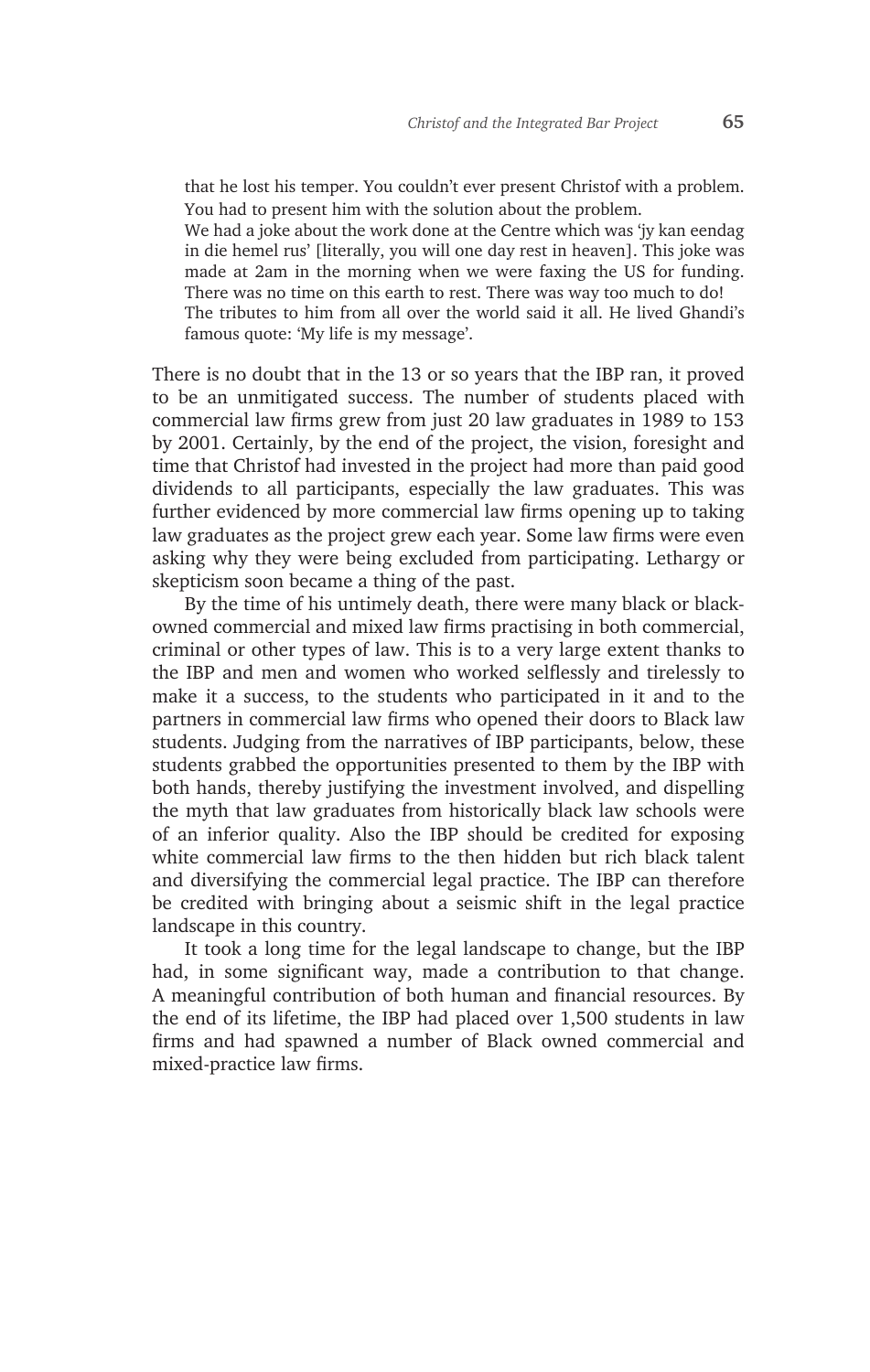that he lost his temper. You couldn't ever present Christof with a problem. You had to present him with the solution about the problem.

We had a joke about the work done at the Centre which was 'jy kan eendag in die hemel rus' [literally, you will one day rest in heaven]. This joke was made at 2am in the morning when we were faxing the US for funding. There was no time on this earth to rest. There was way too much to do! The tributes to him from all over the world said it all. He lived Ghandi's famous quote: 'My life is my message'.

There is no doubt that in the 13 or so years that the IBP ran, it proved to be an unmitigated success. The number of students placed with commercial law firms grew from just 20 law graduates in 1989 to 153 by 2001. Certainly, by the end of the project, the vision, foresight and time that Christof had invested in the project had more than paid good dividends to all participants, especially the law graduates. This was further evidenced by more commercial law firms opening up to taking law graduates as the project grew each year. Some law firms were even asking why they were being excluded from participating. Lethargy or skepticism soon became a thing of the past.

By the time of his untimely death, there were many black or blackowned commercial and mixed law firms practising in both commercial, criminal or other types of law. This is to a very large extent thanks to the IBP and men and women who worked selflessly and tirelessly to make it a success, to the students who participated in it and to the partners in commercial law firms who opened their doors to Black law students. Judging from the narratives of IBP participants, below, these students grabbed the opportunities presented to them by the IBP with both hands, thereby justifying the investment involved, and dispelling the myth that law graduates from historically black law schools were of an inferior quality. Also the IBP should be credited for exposing white commercial law firms to the then hidden but rich black talent and diversifying the commercial legal practice. The IBP can therefore be credited with bringing about a seismic shift in the legal practice landscape in this country.

It took a long time for the legal landscape to change, but the IBP had, in some significant way, made a contribution to that change. A meaningful contribution of both human and financial resources. By the end of its lifetime, the IBP had placed over 1,500 students in law firms and had spawned a number of Black owned commercial and mixed-practice law firms.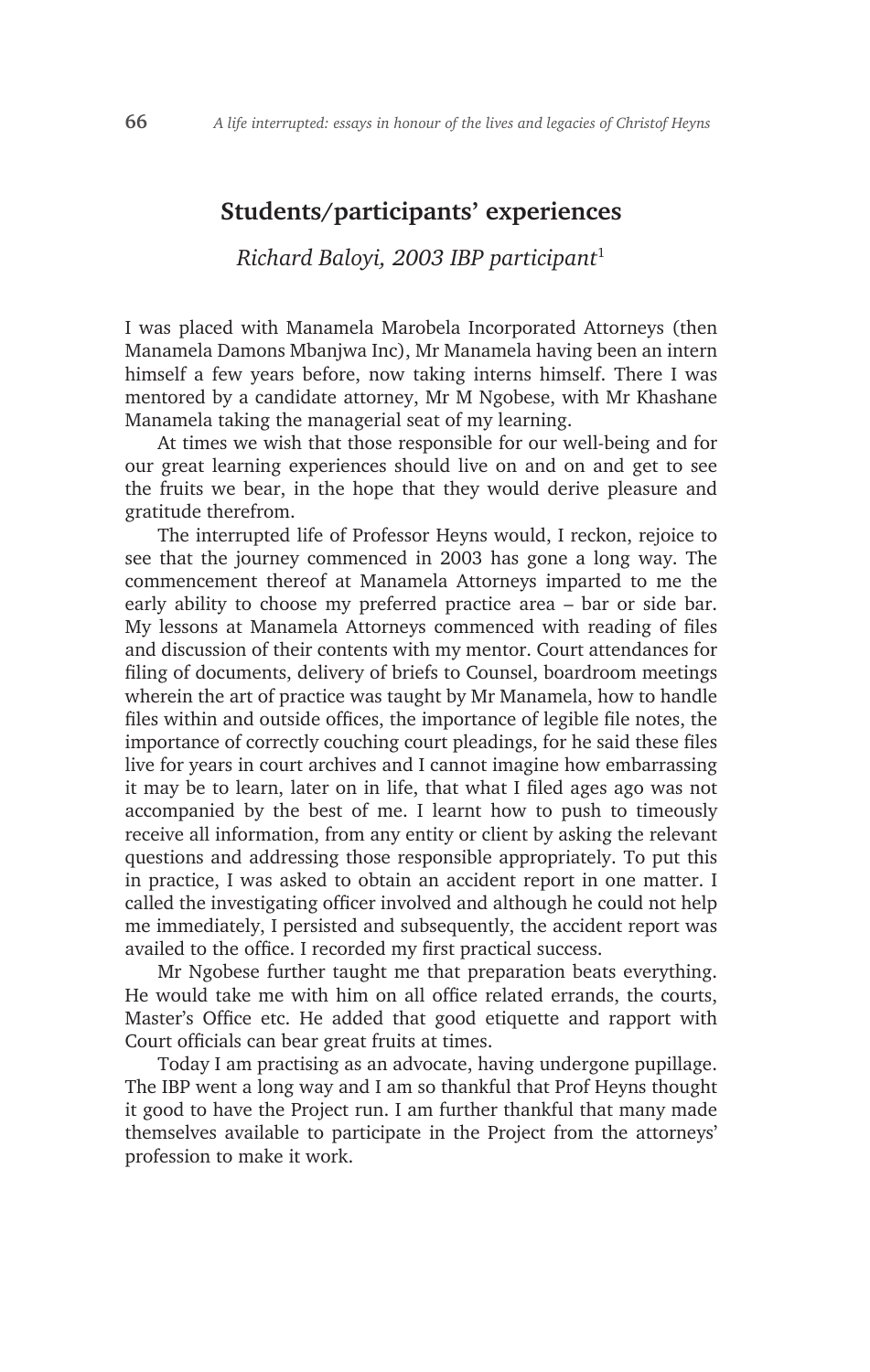### **Students/participants' experiences**

# *Richard Baloyi, 2003 IBP participant*<sup>1</sup>

I was placed with Manamela Marobela Incorporated Attorneys (then Manamela Damons Mbanjwa Inc), Mr Manamela having been an intern himself a few years before, now taking interns himself. There I was mentored by a candidate attorney, Mr M Ngobese, with Mr Khashane Manamela taking the managerial seat of my learning.

At times we wish that those responsible for our well-being and for our great learning experiences should live on and on and get to see the fruits we bear, in the hope that they would derive pleasure and gratitude therefrom.

The interrupted life of Professor Heyns would, I reckon, rejoice to see that the journey commenced in 2003 has gone a long way. The commencement thereof at Manamela Attorneys imparted to me the early ability to choose my preferred practice area – bar or side bar. My lessons at Manamela Attorneys commenced with reading of files and discussion of their contents with my mentor. Court attendances for filing of documents, delivery of briefs to Counsel, boardroom meetings wherein the art of practice was taught by Mr Manamela, how to handle files within and outside offices, the importance of legible file notes, the importance of correctly couching court pleadings, for he said these files live for years in court archives and I cannot imagine how embarrassing it may be to learn, later on in life, that what I filed ages ago was not accompanied by the best of me. I learnt how to push to timeously receive all information, from any entity or client by asking the relevant questions and addressing those responsible appropriately. To put this in practice, I was asked to obtain an accident report in one matter. I called the investigating officer involved and although he could not help me immediately, I persisted and subsequently, the accident report was availed to the office. I recorded my first practical success.

Mr Ngobese further taught me that preparation beats everything. He would take me with him on all office related errands, the courts, Master's Office etc. He added that good etiquette and rapport with Court officials can bear great fruits at times.

Today I am practising as an advocate, having undergone pupillage. The IBP went a long way and I am so thankful that Prof Heyns thought it good to have the Project run. I am further thankful that many made themselves available to participate in the Project from the attorneys' profession to make it work.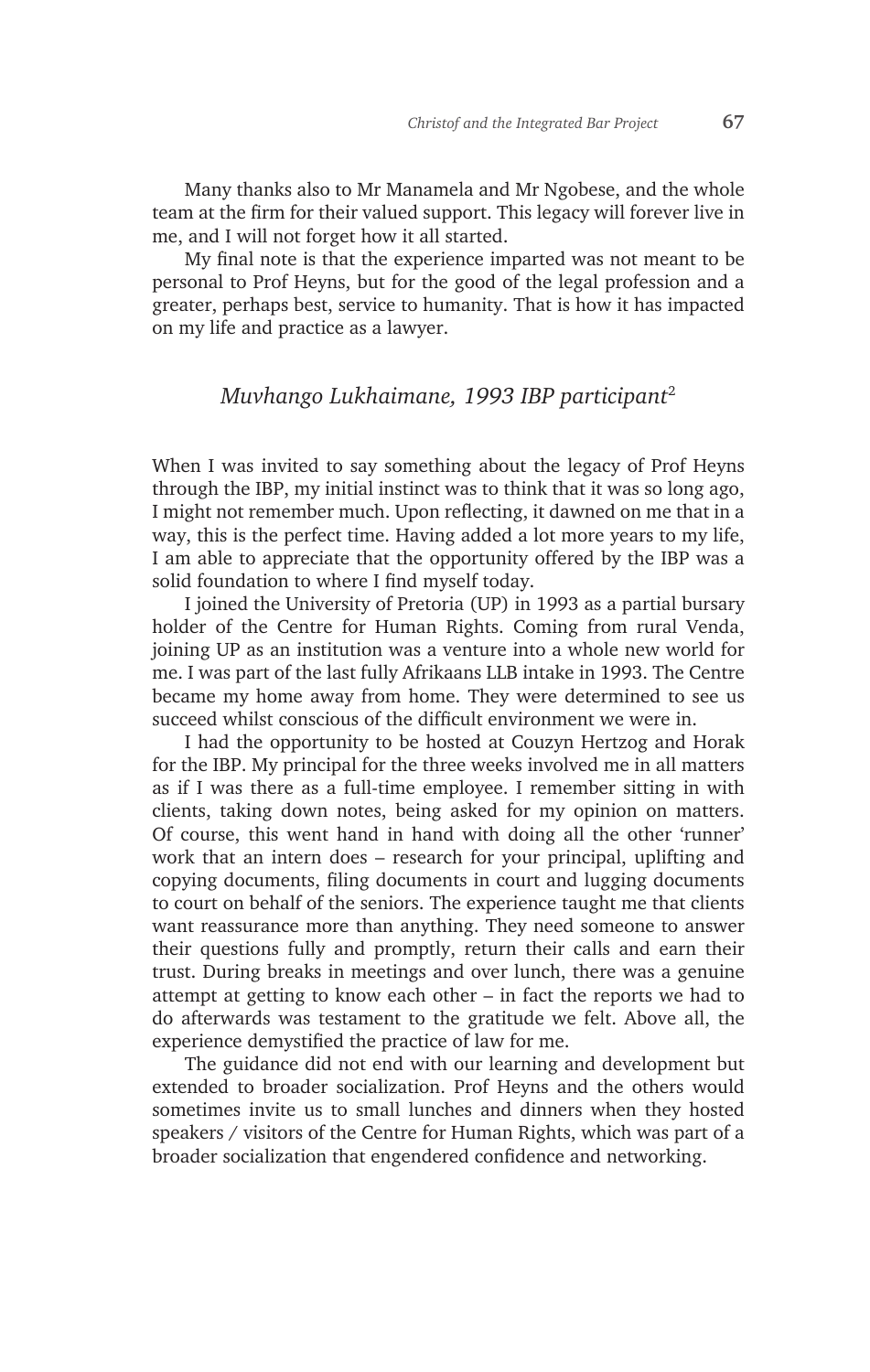Many thanks also to Mr Manamela and Mr Ngobese, and the whole team at the firm for their valued support. This legacy will forever live in me, and I will not forget how it all started.

My final note is that the experience imparted was not meant to be personal to Prof Heyns, but for the good of the legal profession and a greater, perhaps best, service to humanity. That is how it has impacted on my life and practice as a lawyer.

## *Muvhango Lukhaimane, 1993 IBP participant*<sup>2</sup>

When I was invited to say something about the legacy of Prof Heyns through the IBP, my initial instinct was to think that it was so long ago, I might not remember much. Upon reflecting, it dawned on me that in a way, this is the perfect time. Having added a lot more years to my life, I am able to appreciate that the opportunity offered by the IBP was a solid foundation to where I find myself today.

I joined the University of Pretoria (UP) in 1993 as a partial bursary holder of the Centre for Human Rights. Coming from rural Venda, joining UP as an institution was a venture into a whole new world for me. I was part of the last fully Afrikaans LLB intake in 1993. The Centre became my home away from home. They were determined to see us succeed whilst conscious of the difficult environment we were in.

I had the opportunity to be hosted at Couzyn Hertzog and Horak for the IBP. My principal for the three weeks involved me in all matters as if I was there as a full-time employee. I remember sitting in with clients, taking down notes, being asked for my opinion on matters. Of course, this went hand in hand with doing all the other 'runner' work that an intern does – research for your principal, uplifting and copying documents, filing documents in court and lugging documents to court on behalf of the seniors. The experience taught me that clients want reassurance more than anything. They need someone to answer their questions fully and promptly, return their calls and earn their trust. During breaks in meetings and over lunch, there was a genuine attempt at getting to know each other – in fact the reports we had to do afterwards was testament to the gratitude we felt. Above all, the experience demystified the practice of law for me.

The guidance did not end with our learning and development but extended to broader socialization. Prof Heyns and the others would sometimes invite us to small lunches and dinners when they hosted speakers / visitors of the Centre for Human Rights, which was part of a broader socialization that engendered confidence and networking.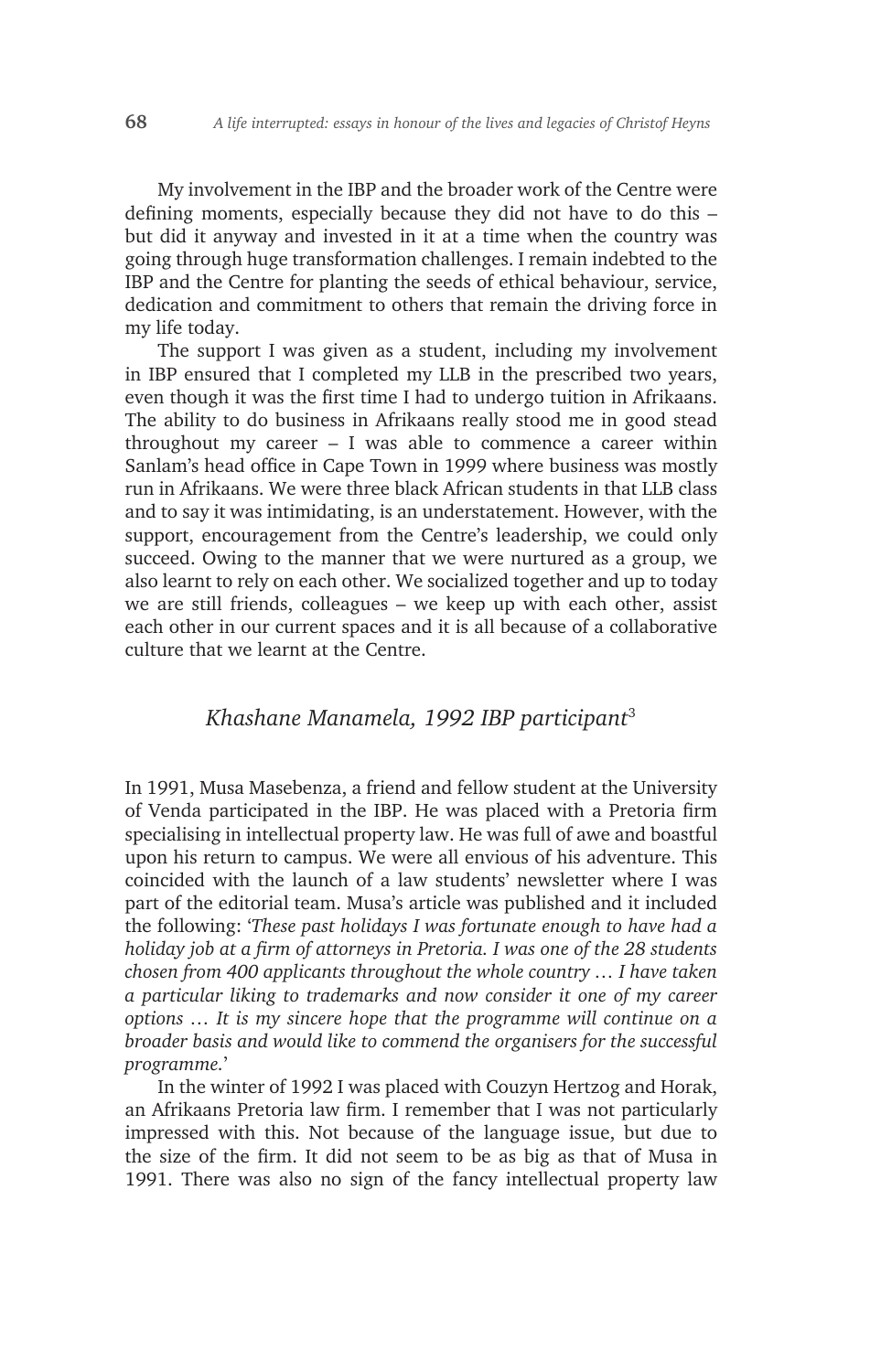My involvement in the IBP and the broader work of the Centre were defining moments, especially because they did not have to do this – but did it anyway and invested in it at a time when the country was going through huge transformation challenges. I remain indebted to the IBP and the Centre for planting the seeds of ethical behaviour, service, dedication and commitment to others that remain the driving force in my life today.

The support I was given as a student, including my involvement in IBP ensured that I completed my LLB in the prescribed two years, even though it was the first time I had to undergo tuition in Afrikaans. The ability to do business in Afrikaans really stood me in good stead throughout my career – I was able to commence a career within Sanlam's head office in Cape Town in 1999 where business was mostly run in Afrikaans. We were three black African students in that LLB class and to say it was intimidating, is an understatement. However, with the support, encouragement from the Centre's leadership, we could only succeed. Owing to the manner that we were nurtured as a group, we also learnt to rely on each other. We socialized together and up to today we are still friends, colleagues – we keep up with each other, assist each other in our current spaces and it is all because of a collaborative culture that we learnt at the Centre.

#### *Khashane Manamela, 1992 IBP participant*<sup>3</sup>

In 1991, Musa Masebenza, a friend and fellow student at the University of Venda participated in the IBP. He was placed with a Pretoria firm specialising in intellectual property law. He was full of awe and boastful upon his return to campus. We were all envious of his adventure. This coincided with the launch of a law students' newsletter where I was part of the editorial team. Musa's article was published and it included the following: '*These past holidays I was fortunate enough to have had a holiday job at a firm of attorneys in Pretoria. I was one of the 28 students chosen from 400 applicants throughout the whole country … I have taken a particular liking to trademarks and now consider it one of my career options … It is my sincere hope that the programme will continue on a broader basis and would like to commend the organisers for the successful programme.*'

In the winter of 1992 I was placed with Couzyn Hertzog and Horak, an Afrikaans Pretoria law firm. I remember that I was not particularly impressed with this. Not because of the language issue, but due to the size of the firm. It did not seem to be as big as that of Musa in 1991. There was also no sign of the fancy intellectual property law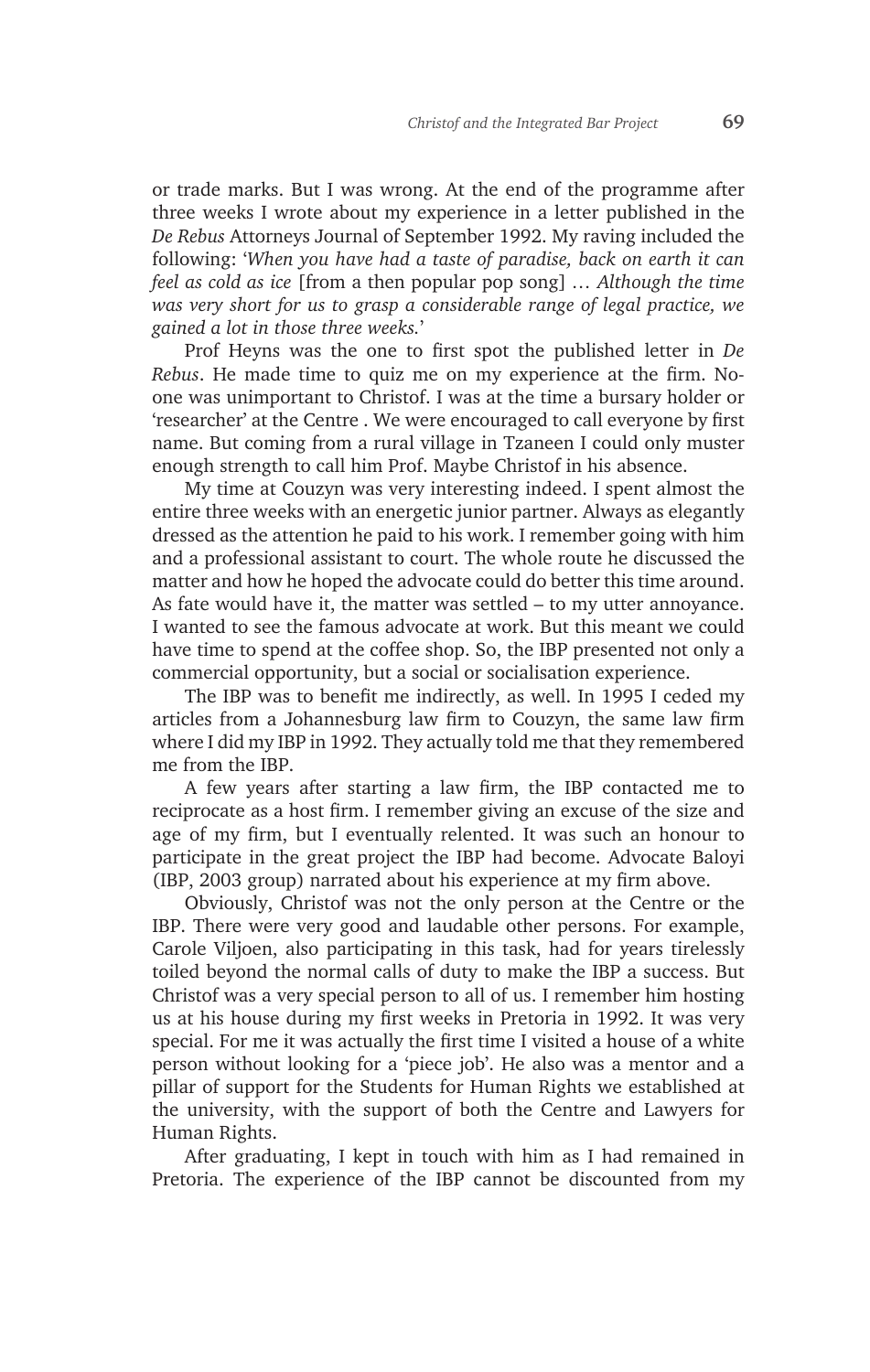or trade marks. But I was wrong. At the end of the programme after three weeks I wrote about my experience in a letter published in the *De Rebus* Attorneys Journal of September 1992. My raving included the following: '*When you have had a taste of paradise, back on earth it can feel as cold as ice* [from a then popular pop song] *… Although the time was very short for us to grasp a considerable range of legal practice, we gained a lot in those three weeks.*'

Prof Heyns was the one to first spot the published letter in *De Rebus*. He made time to quiz me on my experience at the firm. Noone was unimportant to Christof. I was at the time a bursary holder or 'researcher' at the Centre . We were encouraged to call everyone by first name. But coming from a rural village in Tzaneen I could only muster enough strength to call him Prof. Maybe Christof in his absence.

My time at Couzyn was very interesting indeed. I spent almost the entire three weeks with an energetic junior partner. Always as elegantly dressed as the attention he paid to his work. I remember going with him and a professional assistant to court. The whole route he discussed the matter and how he hoped the advocate could do better this time around. As fate would have it, the matter was settled – to my utter annoyance. I wanted to see the famous advocate at work. But this meant we could have time to spend at the coffee shop. So, the IBP presented not only a commercial opportunity, but a social or socialisation experience.

The IBP was to benefit me indirectly, as well. In 1995 I ceded my articles from a Johannesburg law firm to Couzyn, the same law firm where I did my IBP in 1992. They actually told me that they remembered me from the IBP.

A few years after starting a law firm, the IBP contacted me to reciprocate as a host firm. I remember giving an excuse of the size and age of my firm, but I eventually relented. It was such an honour to participate in the great project the IBP had become. Advocate Baloyi (IBP, 2003 group) narrated about his experience at my firm above.

Obviously, Christof was not the only person at the Centre or the IBP. There were very good and laudable other persons. For example, Carole Viljoen, also participating in this task, had for years tirelessly toiled beyond the normal calls of duty to make the IBP a success. But Christof was a very special person to all of us. I remember him hosting us at his house during my first weeks in Pretoria in 1992. It was very special. For me it was actually the first time I visited a house of a white person without looking for a 'piece job'. He also was a mentor and a pillar of support for the Students for Human Rights we established at the university, with the support of both the Centre and Lawyers for Human Rights.

After graduating, I kept in touch with him as I had remained in Pretoria. The experience of the IBP cannot be discounted from my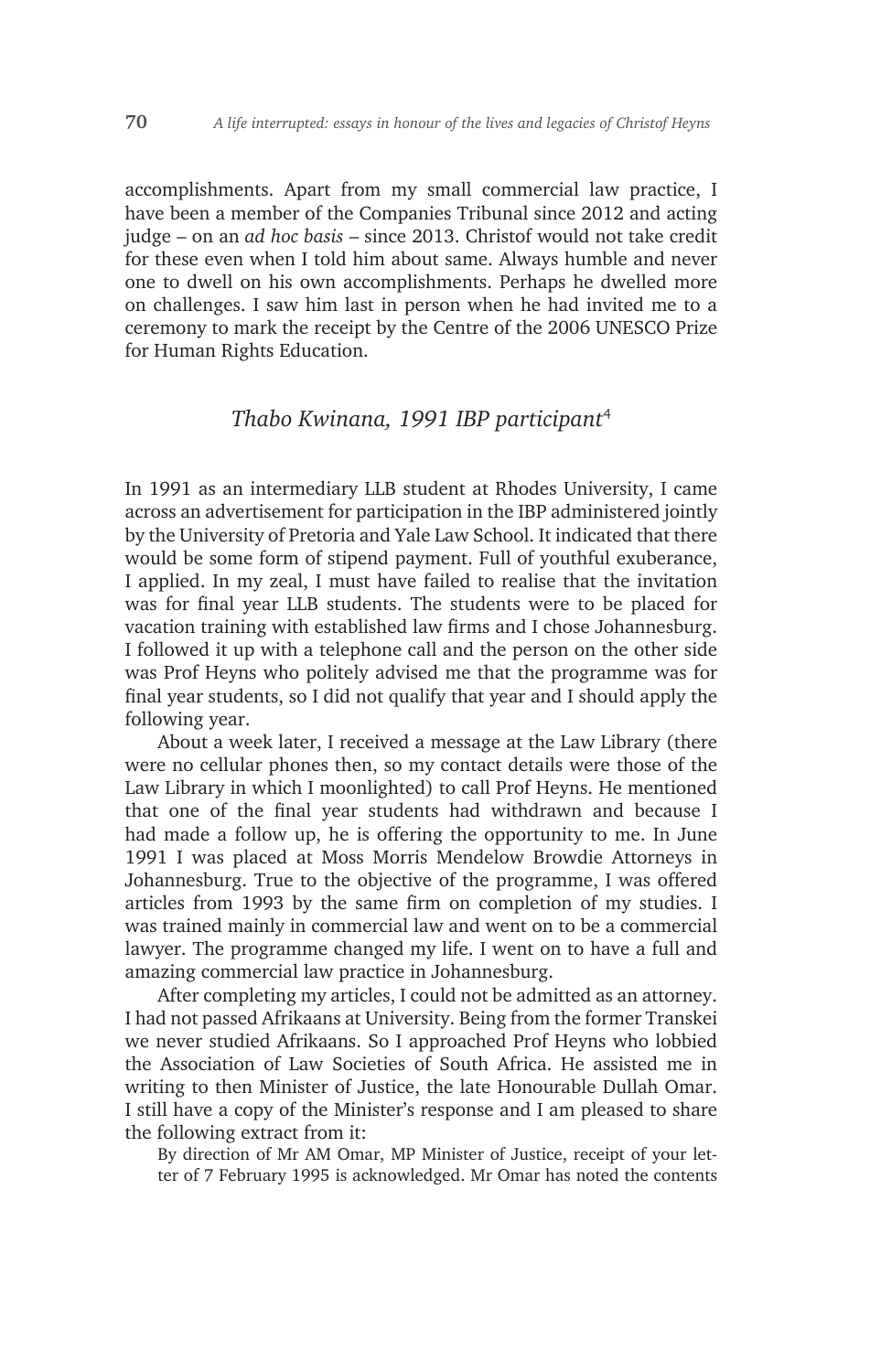accomplishments. Apart from my small commercial law practice, I have been a member of the Companies Tribunal since 2012 and acting judge – on an *ad hoc basis* – since 2013. Christof would not take credit for these even when I told him about same. Always humble and never one to dwell on his own accomplishments. Perhaps he dwelled more on challenges. I saw him last in person when he had invited me to a ceremony to mark the receipt by the Centre of the 2006 UNESCO Prize for Human Rights Education.

### *Thabo Kwinana, 1991 IBP participant*<sup>4</sup>

In 1991 as an intermediary LLB student at Rhodes University, I came across an advertisement for participation in the IBP administered jointly by the University of Pretoria and Yale Law School. It indicated that there would be some form of stipend payment. Full of youthful exuberance, I applied. In my zeal, I must have failed to realise that the invitation was for final year LLB students. The students were to be placed for vacation training with established law firms and I chose Johannesburg. I followed it up with a telephone call and the person on the other side was Prof Heyns who politely advised me that the programme was for final year students, so I did not qualify that year and I should apply the following year.

About a week later, I received a message at the Law Library (there were no cellular phones then, so my contact details were those of the Law Library in which I moonlighted) to call Prof Heyns. He mentioned that one of the final year students had withdrawn and because I had made a follow up, he is offering the opportunity to me. In June 1991 I was placed at Moss Morris Mendelow Browdie Attorneys in Johannesburg. True to the objective of the programme, I was offered articles from 1993 by the same firm on completion of my studies. I was trained mainly in commercial law and went on to be a commercial lawyer. The programme changed my life. I went on to have a full and amazing commercial law practice in Johannesburg.

After completing my articles, I could not be admitted as an attorney. I had not passed Afrikaans at University. Being from the former Transkei we never studied Afrikaans. So I approached Prof Heyns who lobbied the Association of Law Societies of South Africa. He assisted me in writing to then Minister of Justice, the late Honourable Dullah Omar. I still have a copy of the Minister's response and I am pleased to share the following extract from it:

By direction of Mr AM Omar, MP Minister of Justice, receipt of your letter of 7 February 1995 is acknowledged. Mr Omar has noted the contents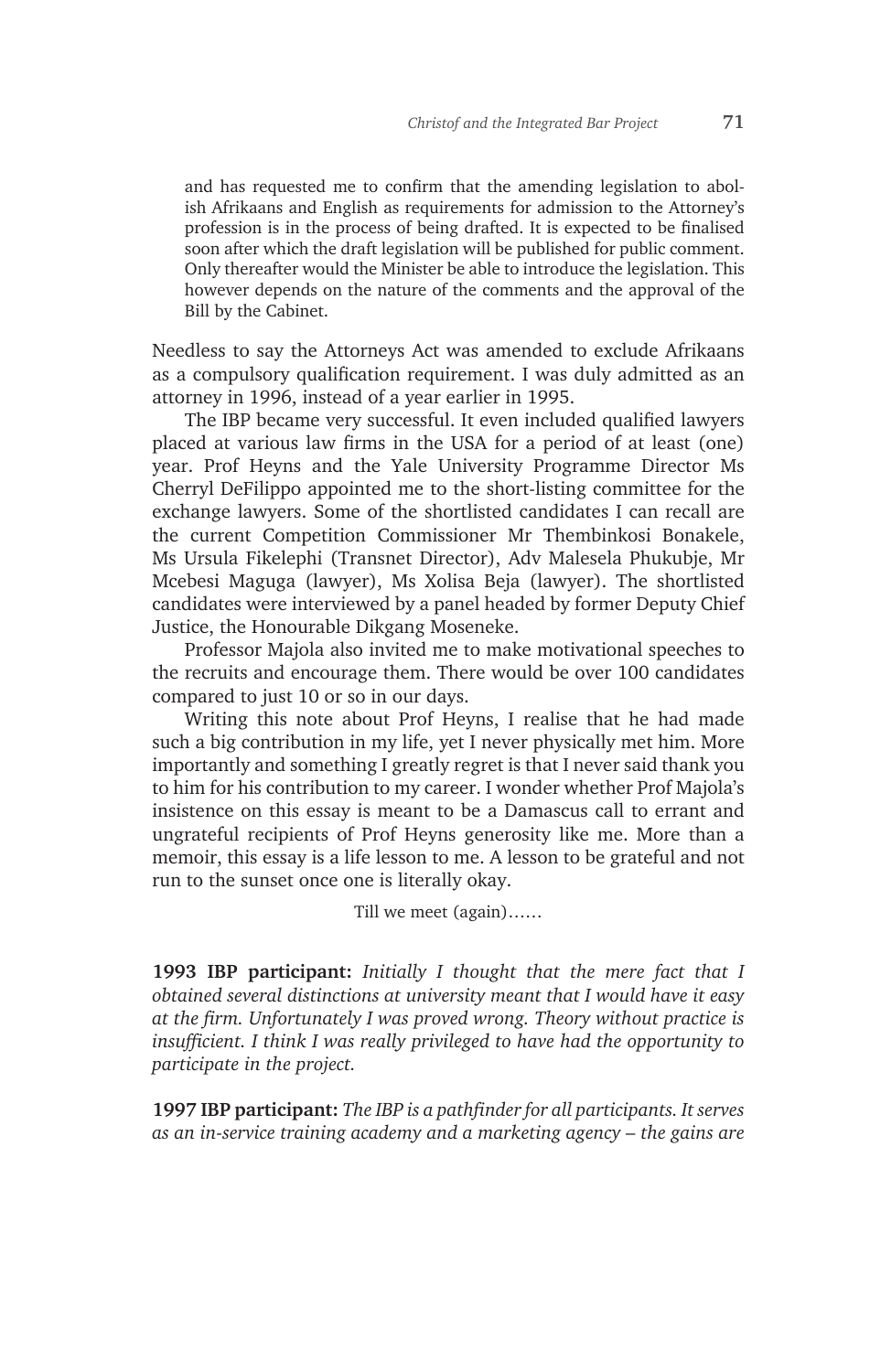and has requested me to confirm that the amending legislation to abolish Afrikaans and English as requirements for admission to the Attorney's profession is in the process of being drafted. It is expected to be finalised soon after which the draft legislation will be published for public comment. Only thereafter would the Minister be able to introduce the legislation. This however depends on the nature of the comments and the approval of the Bill by the Cabinet.

Needless to say the Attorneys Act was amended to exclude Afrikaans as a compulsory qualification requirement. I was duly admitted as an attorney in 1996, instead of a year earlier in 1995.

The IBP became very successful. It even included qualified lawyers placed at various law firms in the USA for a period of at least (one) year. Prof Heyns and the Yale University Programme Director Ms Cherryl DeFilippo appointed me to the short-listing committee for the exchange lawyers. Some of the shortlisted candidates I can recall are the current Competition Commissioner Mr Thembinkosi Bonakele, Ms Ursula Fikelephi (Transnet Director), Adv Malesela Phukubje, Mr Mcebesi Maguga (lawyer), Ms Xolisa Beja (lawyer). The shortlisted candidates were interviewed by a panel headed by former Deputy Chief Justice, the Honourable Dikgang Moseneke.

Professor Majola also invited me to make motivational speeches to the recruits and encourage them. There would be over 100 candidates compared to just 10 or so in our days.

Writing this note about Prof Heyns, I realise that he had made such a big contribution in my life, yet I never physically met him. More importantly and something I greatly regret is that I never said thank you to him for his contribution to my career. I wonder whether Prof Majola's insistence on this essay is meant to be a Damascus call to errant and ungrateful recipients of Prof Heyns generosity like me. More than a memoir, this essay is a life lesson to me. A lesson to be grateful and not run to the sunset once one is literally okay.

Till we meet (again)……

**1993 IBP participant:** *Initially I thought that the mere fact that I obtained several distinctions at university meant that I would have it easy at the firm. Unfortunately I was proved wrong. Theory without practice is insufficient. I think I was really privileged to have had the opportunity to participate in the project.*

**1997 IBP participant:** *The IBP is a pathfinder for all participants. It serves as an in-service training academy and a marketing agency – the gains are*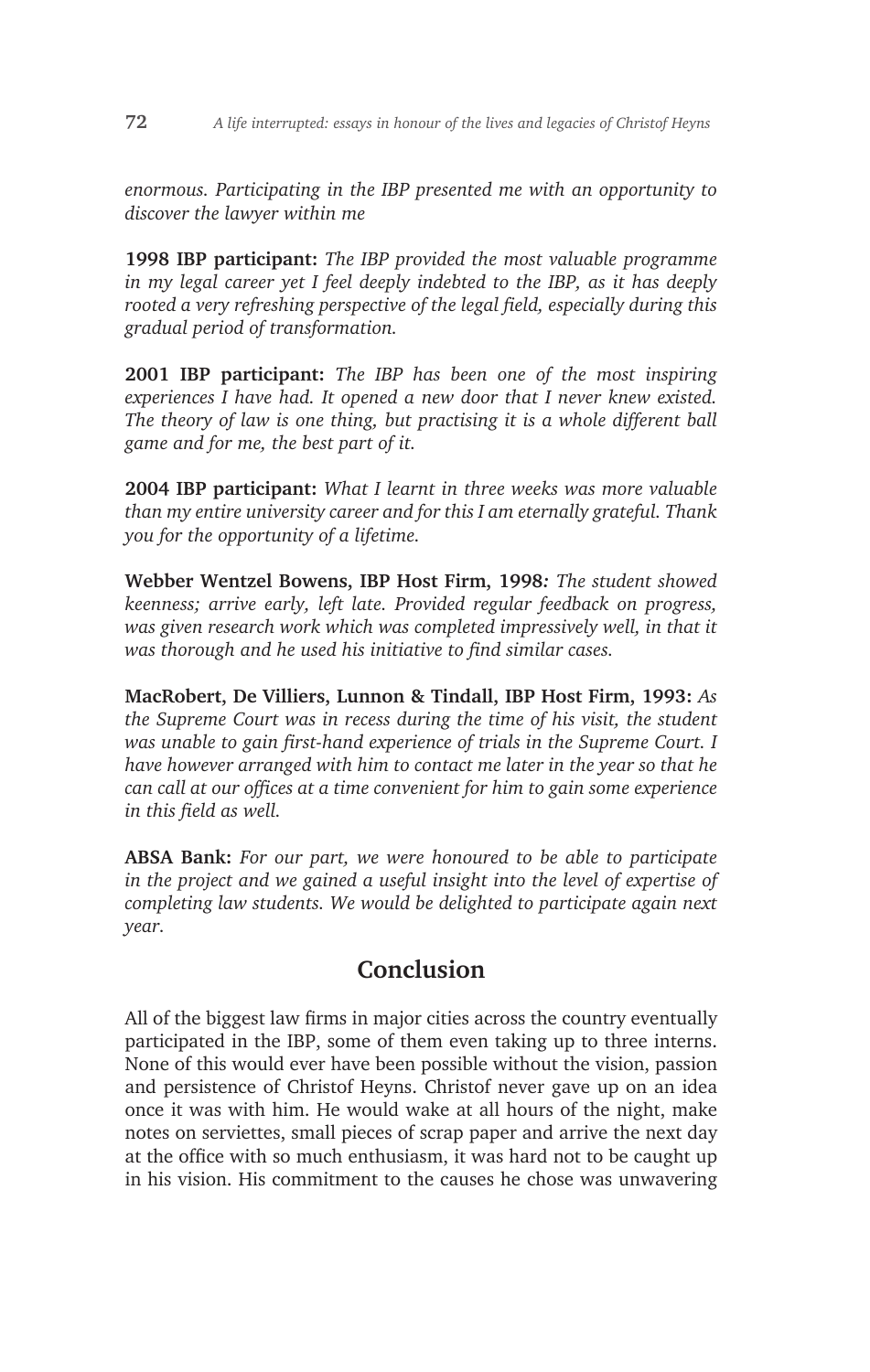*enormous. Participating in the IBP presented me with an opportunity to discover the lawyer within me*

**1998 IBP participant:** *The IBP provided the most valuable programme in my legal career yet I feel deeply indebted to the IBP, as it has deeply rooted a very refreshing perspective of the legal field, especially during this gradual period of transformation.*

**2001 IBP participant:** *The IBP has been one of the most inspiring experiences I have had. It opened a new door that I never knew existed. The theory of law is one thing, but practising it is a whole different ball game and for me, the best part of it.*

**2004 IBP participant:** *What I learnt in three weeks was more valuable than my entire university career and for this I am eternally grateful. Thank you for the opportunity of a lifetime.*

**Webber Wentzel Bowens, IBP Host Firm, 1998***: The student showed keenness; arrive early, left late. Provided regular feedback on progress, was given research work which was completed impressively well, in that it was thorough and he used his initiative to find similar cases.*

**MacRobert, De Villiers, Lunnon & Tindall, IBP Host Firm, 1993:** *As the Supreme Court was in recess during the time of his visit, the student was unable to gain first-hand experience of trials in the Supreme Court. I have however arranged with him to contact me later in the year so that he can call at our offices at a time convenient for him to gain some experience in this field as well.*

**ABSA Bank:** *For our part, we were honoured to be able to participate*  in the project and we gained a useful insight into the level of expertise of *completing law students. We would be delighted to participate again next year.*

# **Conclusion**

All of the biggest law firms in major cities across the country eventually participated in the IBP, some of them even taking up to three interns. None of this would ever have been possible without the vision, passion and persistence of Christof Heyns. Christof never gave up on an idea once it was with him. He would wake at all hours of the night, make notes on serviettes, small pieces of scrap paper and arrive the next day at the office with so much enthusiasm, it was hard not to be caught up in his vision. His commitment to the causes he chose was unwavering